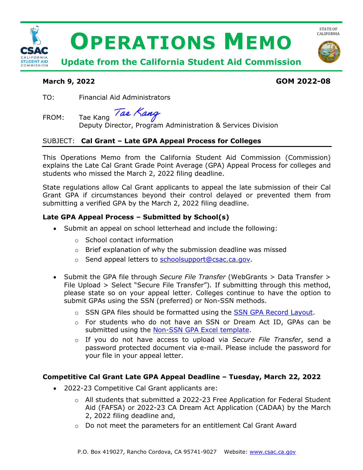

# **March 9, 2022 GOM 2022-08**

TO: Financial Aid Administrators

Tae Kang FROM: Tae Kang

Deputy Director, Program Administration & Services Division

## SUBJECT: **Cal Grant – Late GPA Appeal Process for Colleges**

This Operations Memo from the California Student Aid Commission (Commission) explains the Late Cal Grant Grade Point Average (GPA) Appeal Process for colleges and students who missed the March 2, 2022 filing deadline.

 Grant GPA if circumstances beyond their control delayed or prevented them from State regulations allow Cal Grant applicants to appeal the late submission of their Cal submitting a verified GPA by the March 2, 2022 filing deadline.

### **Late GPA Appeal Process – Submitted by School(s)**

- • Submit an appeal on school letterhead and include the following:
	- o School contact information
	- o Brief explanation of why the submission deadline was missed
	- o Send appeal letters to [schoolsupport@csac.ca.gov.](mailto:schoolsupport@csac.ca.gov)
- • Submit the GPA file through *Secure File Transfer* (WebGrants > Data Transfer > File Upload > Select "Secure File Transfer")*.* If submitting through this method, please state so on your appeal letter. Colleges continue to have the option to submit GPAs using the SSN (preferred) or Non-SSN methods.
	- o SSN GPA files should be formatted using the **SSN GPA Record Layout**.
	- o For students who do not have an SSN or Dream Act ID, GPAs can be submitted using the [Non-SSN GPA Excel template.](https://www.csac.ca.gov/post/gpa-submission-information-0)
	- o If you do not have access to upload via *Secure File Transfer*, send a password protected document via e-mail. Please include the password for your file in your appeal letter.

#### **Competitive Cal Grant Late GPA Appeal Deadline – Tuesday, March 22, 2022**

- • 2022-23 Competitive Cal Grant applicants are:
	- Aid (FAFSA) or 2022-23 CA Dream Act Application (CADAA) by the March  $\circ$  All students that submitted a 2022-23 Free Application for Federal Student 2, 2022 filing deadline and,
	- $\circ$  Do not meet the parameters for an entitlement Cal Grant Award